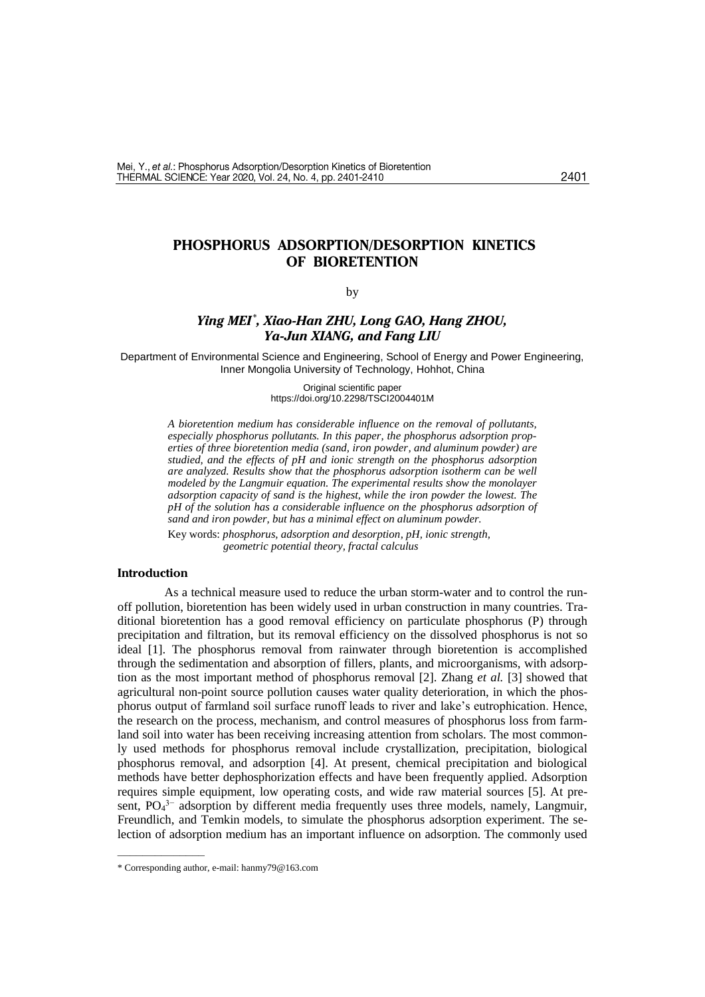### 2401

# **PHOSPHORUS ADSORPTION/DESORPTION KINETICS OF BIORETENTION**

by

# *Ying MEI \* , Xiao-Han ZHU, Long GAO, Hang ZHOU, Ya-Jun XIANG, and Fang LIU*

Department of Environmental Science and Engineering, School of Energy and Power Engineering, Inner Mongolia University of Technology[, Hohhot,](app:ds:Hohhot) China

> Original scientific paper https://doi.org/10.2298/TSCI2004401M

*A bioretention medium has considerable influence on the removal of pollutants, especially phosphorus pollutants. In this paper, the phosphorus adsorption properties of three bioretention media (sand, iron powder, and aluminum powder) are studied, and the effects of pH and ionic strength on the phosphorus adsorption are analyzed. Results show that the phosphorus adsorption isotherm can be well modeled by the Langmuir equation. The experimental results show the monolayer adsorption capacity of sand is the highest, while the iron powder the lowest. The pH of the solution has a considerable influence on the phosphorus adsorption of sand and iron powder, but has a minimal effect on aluminum powder.* 

Key words: *phosphorus, adsorption and desorption, pH, ionic strength, geometric potential theory, fractal calculus*

#### **Introduction**

As a technical measure used to reduce the urban storm-water and to control the runoff pollution, bioretention has been widely used in urban construction in many countries. Traditional bioretention has a good removal efficiency on particulate phosphorus (P) through precipitation and filtration, but its removal efficiency on the dissolved phosphorus is not so ideal [1]. The phosphorus removal from rainwater through bioretention is accomplished through the sedimentation and absorption of fillers, plants, and microorganisms, with adsorption as the most important method of phosphorus removal [2]. Zhang *et al.* [3] showed that agricultural non-point source pollution causes water quality deterioration, in which the phosphorus output of farmland soil surface runoff leads to river and lake's eutrophication. Hence, the research on the process, mechanism, and control measures of phosphorus loss from farmland soil into water has been receiving increasing attention from scholars. The most commonly used methods for phosphorus removal include crystallization, precipitation, biological phosphorus removal, and adsorption [4]. At present, chemical precipitation and biological methods have better dephosphorization effects and have been frequently applied. Adsorption requires simple equipment, low operating costs, and wide raw material sources [5]. At present,  $PO<sub>4</sub><sup>3-</sup>$  adsorption by different media frequently uses three models, namely, Langmuir, Freundlich, and Temkin models, to simulate the phosphorus adsorption experiment. The selection of adsorption medium has an important influence on adsorption. The commonly used

––––––––––––––

<sup>\*</sup> Corresponding author, e-mail: [hanmy79@163.com](mailto:hanmy79@163.com)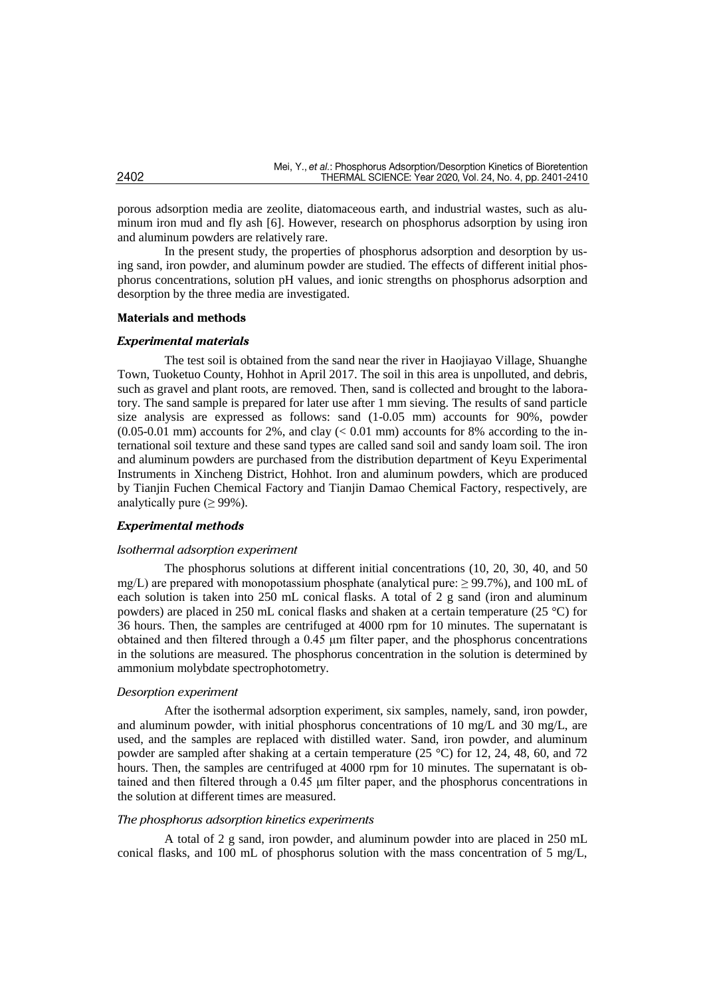porous adsorption media are zeolite, diatomaceous earth, and industrial wastes, such as aluminum iron mud and fly ash [6]. However, research on phosphorus adsorption by using iron and aluminum powders are relatively rare.

In the present study, the properties of phosphorus adsorption and desorption by using sand, iron powder, and aluminum powder are studied. The effects of different initial phosphorus concentrations, solution pH values, and ionic strengths on phosphorus adsorption and desorption by the three media are investigated.

### **Materials and methods**

### *Experimental materials*

The test soil is obtained from the sand near the river in Haojiayao Village, Shuanghe Town, Tuoketuo County, Hohhot in April 2017. The soil in this area is unpolluted, and debris, such as gravel and plant roots, are removed. Then, sand is collected and brought to the laboratory. The sand sample is prepared for later use after 1 mm sieving. The results of sand particle size analysis are expressed as follows: sand (1-0.05 mm) accounts for 90%, powder  $(0.05-0.01$  mm) accounts for 2%, and clay  $(< 0.01$  mm) accounts for 8% according to the international soil texture and these sand types are called sand soil and sandy loam soil. The iron and aluminum powders are purchased from the distribution department of Keyu Experimental Instruments in Xincheng District, Hohhot. Iron and aluminum powders, which are produced by Tianjin Fuchen Chemical Factory and Tianjin Damao Chemical Factory, respectively, are analytically pure  $(\geq 99\%)$ .

### *Experimental methods*

## *Isothermal adsorption experiment*

The phosphorus solutions at different initial concentrations (10, 20, 30, 40, and 50 mg/L) are prepared with monopotassium phosphate (analytical pure:  $\geq$  99.7%), and 100 mL of each solution is taken into 250 mL conical flasks. A total of 2 g sand (iron and aluminum powders) are placed in 250 mL conical flasks and shaken at a certain temperature (25 °C) for 36 hours. Then, the samples are centrifuged at 4000 rpm for 10 minutes. The supernatant is obtained and then filtered through a 0.45 μm filter paper, and the phosphorus concentrations in the solutions are measured. The phosphorus concentration in the solution is determined by ammonium molybdate spectrophotometry.

## *Desorption experiment*

After the isothermal adsorption experiment, six samples, namely, sand, iron powder, and aluminum powder, with initial phosphorus concentrations of 10 mg/L and 30 mg/L, are used, and the samples are replaced with distilled water. Sand, iron powder, and aluminum powder are sampled after shaking at a certain temperature (25 °C) for 12, 24, 48, 60, and 72 hours. Then, the samples are centrifuged at 4000 rpm for 10 minutes. The supernatant is obtained and then filtered through a 0.45 μm filter paper, and the phosphorus concentrations in the solution at different times are measured.

### *The phosphorus adsorption kinetics experiments*

A total of 2 g sand, iron powder, and aluminum powder into are placed in 250 mL conical flasks, and 100 mL of phosphorus solution with the mass concentration of 5 mg/L,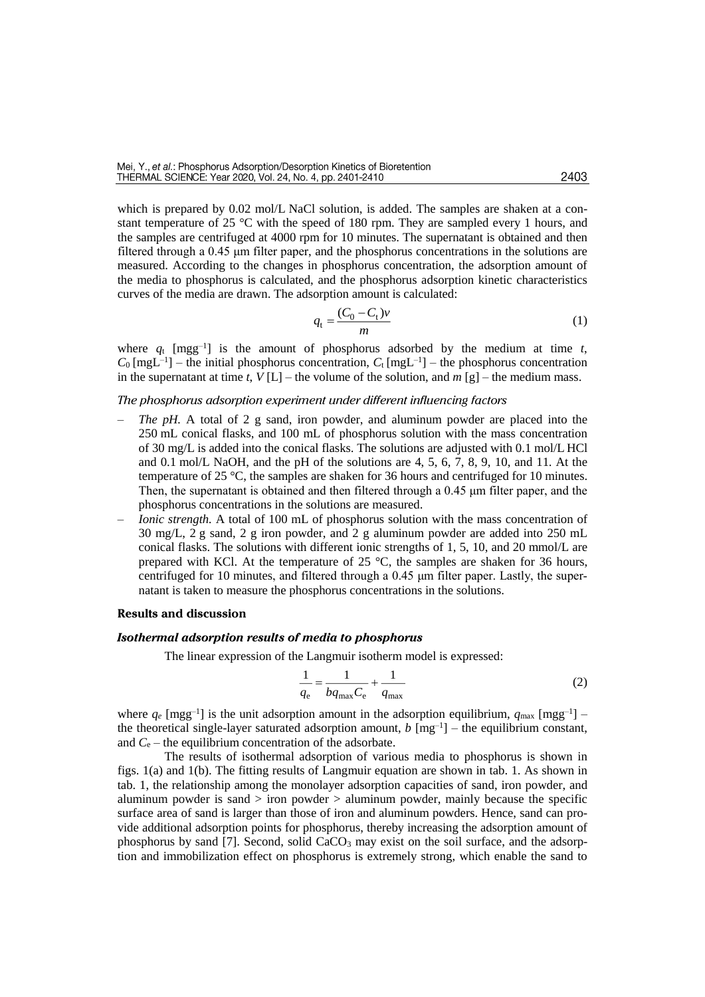which is prepared by 0.02 mol/L NaCl solution, is added. The samples are shaken at a constant temperature of 25 °C with the speed of 180 rpm. They are sampled every 1 hours, and the samples are centrifuged at 4000 rpm for 10 minutes. The supernatant is obtained and then filtered through a 0.45 μm filter paper, and the phosphorus concentrations in the solutions are measured. According to the changes in phosphorus concentration, the adsorption amount of the media to phosphorus is calculated, and the phosphorus adsorption kinetic characteristics curves of the media are drawn. The adsorption amount is calculated:

$$
q_{t} = \frac{(C_0 - C_t)v}{m} \tag{1}
$$

where  $q_t$  [mgg<sup>-1</sup>] is the amount of phosphorus adsorbed by the medium at time *t*,  $C_0$  [mgL<sup>-1</sup>] – the initial phosphorus concentration,  $C_t$  [mgL<sup>-1</sup>] – the phosphorus concentration in the supernatant at time *t*,  $V[L]$  – the volume of the solution, and  $m[g]$  – the medium mass.

#### *The phosphorus adsorption experiment under different influencing factors*

- *The pH.* A total of 2 g sand, iron powder, and aluminum powder are placed into the 250 mL conical flasks, and 100 mL of phosphorus solution with the mass concentration of 30 mg/L is added into the conical flasks. The solutions are adjusted with 0.1 mol/L HCl and 0.1 mol/L NaOH, and the pH of the solutions are 4, 5, 6, 7, 8, 9, 10, and 11. At the temperature of 25 °C, the samples are shaken for 36 hours and centrifuged for 10 minutes. Then, the supernatant is obtained and then filtered through a 0.45 μm filter paper, and the phosphorus concentrations in the solutions are measured.
- *Ionic strength.* A total of 100 mL of phosphorus solution with the mass concentration of 30 mg/L, 2 g sand, 2 g iron powder, and 2 g aluminum powder are added into 250 mL conical flasks. The solutions with different ionic strengths of 1, 5, 10, and 20 mmol/L are prepared with KCl. At the temperature of 25  $\degree$ C, the samples are shaken for 36 hours, centrifuged for 10 minutes, and filtered through a 0.45 μm filter paper. Lastly, the supernatant is taken to measure the phosphorus concentrations in the solutions.

#### **Results and discussion**

#### *Isothermal adsorption results of media to phosphorus*

The linear expression of the Langmuir isotherm model is expressed:

$$
\frac{1}{q_{\rm e}} = \frac{1}{b q_{\rm max} C_{\rm e}} + \frac{1}{q_{\rm max}}\tag{2}
$$

where  $q_e$  [mgg<sup>-1</sup>] is the unit adsorption amount in the adsorption equilibrium,  $q_{\text{max}}$  [mgg<sup>-1</sup>] – the theoretical single-layer saturated adsorption amount,  $b$   $[mg^{-1}]$  – the equilibrium constant, and  $C_e$  – the equilibrium concentration of the adsorbate.

The results of isothermal adsorption of various media to phosphorus is shown in figs. 1(a) and 1(b). The fitting results of Langmuir equation are shown in tab. 1. As shown in tab. 1, the relationship among the monolayer adsorption capacities of sand, iron powder, and aluminum powder is sand  $>$  iron powder  $>$  aluminum powder, mainly because the specific surface area of sand is larger than those of iron and aluminum powders. Hence, sand can provide additional adsorption points for phosphorus, thereby increasing the adsorption amount of phosphorus by sand [7]. Second, solid CaCO<sup>3</sup> may exist on the soil surface, and the adsorption and immobilization effect on phosphorus is extremely strong, which enable the sand to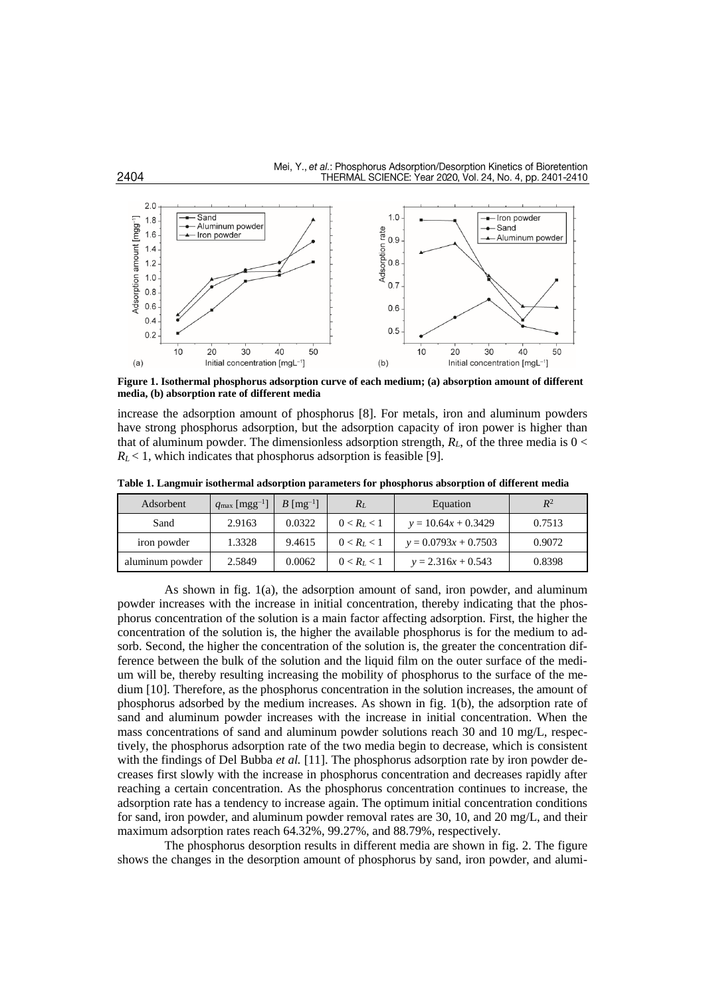

**Figure 1. Isothermal phosphorus adsorption curve of each medium; (a) absorption amount of different media, (b) absorption rate of different media**

increase the adsorption amount of phosphorus [8]. For metals, iron and aluminum powders have strong phosphorus adsorption, but the adsorption capacity of iron power is higher than that of aluminum powder. The dimensionless adsorption strength,  $R<sub>L</sub>$ , of the three media is  $0 <$  $R_L$  < 1, which indicates that phosphorus adsorption is feasible [9].

| Adsorbent       | $q_{\text{max}}$ [mgg <sup>-1</sup> ] | $B \text{ [mg}^{-1}]$ | $R_L$         | Equation               | $R^2$  |
|-----------------|---------------------------------------|-----------------------|---------------|------------------------|--------|
| Sand            | 2.9163                                | 0.0322                | $0 < R_L < 1$ | $y = 10.64x + 0.3429$  | 0.7513 |
| iron powder     | 1.3328                                | 9.4615                | $0 < R_L < 1$ | $y = 0.0793x + 0.7503$ | 0.9072 |
| aluminum powder | 2.5849                                | 0.0062                | $0 < R_L < 1$ | $y = 2.316x + 0.543$   | 0.8398 |

**Table 1. Langmuir isothermal adsorption parameters for phosphorus absorption of different media**

As shown in fig. 1(a), the adsorption amount of sand, iron powder, and aluminum powder increases with the increase in initial concentration, thereby indicating that the phosphorus concentration of the solution is a main factor affecting adsorption. First, the higher the concentration of the solution is, the higher the available phosphorus is for the medium to adsorb. Second, the higher the concentration of the solution is, the greater the concentration difference between the bulk of the solution and the liquid film on the outer surface of the medium will be, thereby resulting increasing the mobility of phosphorus to the surface of the medium [10]. Therefore, as the phosphorus concentration in the solution increases, the amount of phosphorus adsorbed by the medium increases. As shown in fig. 1(b), the adsorption rate of sand and aluminum powder increases with the increase in initial concentration. When the mass concentrations of sand and aluminum powder solutions reach 30 and 10 mg/L, respectively, the phosphorus adsorption rate of the two media begin to decrease, which is consistent with the findings of Del Bubba *et al.* [11]. The phosphorus adsorption rate by iron powder decreases first slowly with the increase in phosphorus concentration and decreases rapidly after reaching a certain concentration. As the phosphorus concentration continues to increase, the adsorption rate has a tendency to increase again. The optimum initial concentration conditions for sand, iron powder, and aluminum powder removal rates are 30, 10, and 20 mg/L, and their maximum adsorption rates reach 64.32%, 99.27%, and 88.79%, respectively.

The phosphorus desorption results in different media are shown in fig. 2. The figure shows the changes in the desorption amount of phosphorus by sand, iron powder, and alumi-

2404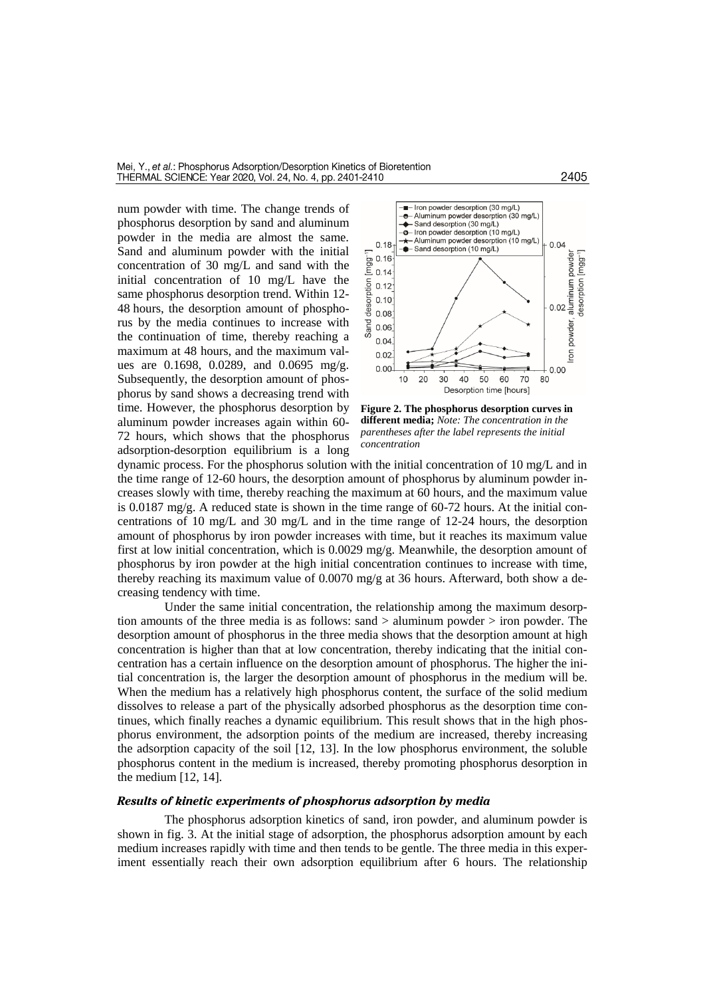num powder with time. The change trends of phosphorus desorption by sand and aluminum powder in the media are almost the same. Sand and aluminum powder with the initial concentration of 30 mg/L and sand with the initial concentration of 10 mg/L have the same phosphorus desorption trend. Within 12- 48 hours, the desorption amount of phosphorus by the media continues to increase with the continuation of time, thereby reaching a maximum at 48 hours, and the maximum values are 0.1698, 0.0289, and 0.0695 mg/g. Subsequently, the desorption amount of phosphorus by sand shows a decreasing trend with time. However, the phosphorus desorption by aluminum powder increases again within 60- 72 hours, which shows that the phosphorus adsorption-desorption equilibrium is a long



**Figure 2. The phosphorus desorption curves in different media;** *Note: The concentration in the parentheses after the label represents the initial concentration*

dynamic process. For the phosphorus solution with the initial concentration of 10 mg/L and in the time range of 12-60 hours, the desorption amount of phosphorus by aluminum powder increases slowly with time, thereby reaching the maximum at 60 hours, and the maximum value is 0.0187 mg/g. A reduced state is shown in the time range of 60-72 hours. At the initial concentrations of 10 mg/L and 30 mg/L and in the time range of 12-24 hours, the desorption amount of phosphorus by iron powder increases with time, but it reaches its maximum value first at low initial concentration, which is 0.0029 mg/g. Meanwhile, the desorption amount of phosphorus by iron powder at the high initial concentration continues to increase with time, thereby reaching its maximum value of 0.0070 mg/g at 36 hours. Afterward, both show a decreasing tendency with time.

Under the same initial concentration, the relationship among the maximum desorption amounts of the three media is as follows: sand > aluminum powder > iron powder. The desorption amount of phosphorus in the three media shows that the desorption amount at high concentration is higher than that at low concentration, thereby indicating that the initial concentration has a certain influence on the desorption amount of phosphorus. The higher the initial concentration is, the larger the desorption amount of phosphorus in the medium will be. When the medium has a relatively high phosphorus content, the surface of the solid medium dissolves to release a part of the physically adsorbed phosphorus as the desorption time continues, which finally reaches a dynamic equilibrium. This result shows that in the high phosphorus environment, the adsorption points of the medium are increased, thereby increasing the adsorption capacity of the soil [12, 13]. In the low phosphorus environment, the soluble phosphorus content in the medium is increased, thereby promoting phosphorus desorption in the medium [12, 14].

## *Results of kinetic experiments of phosphorus adsorption by media*

The phosphorus adsorption kinetics of sand, iron powder, and aluminum powder is shown in fig. 3. At the initial stage of adsorption, the phosphorus adsorption amount by each medium increases rapidly with time and then tends to be gentle. The three media in this experiment essentially reach their own adsorption equilibrium after 6 hours. The relationship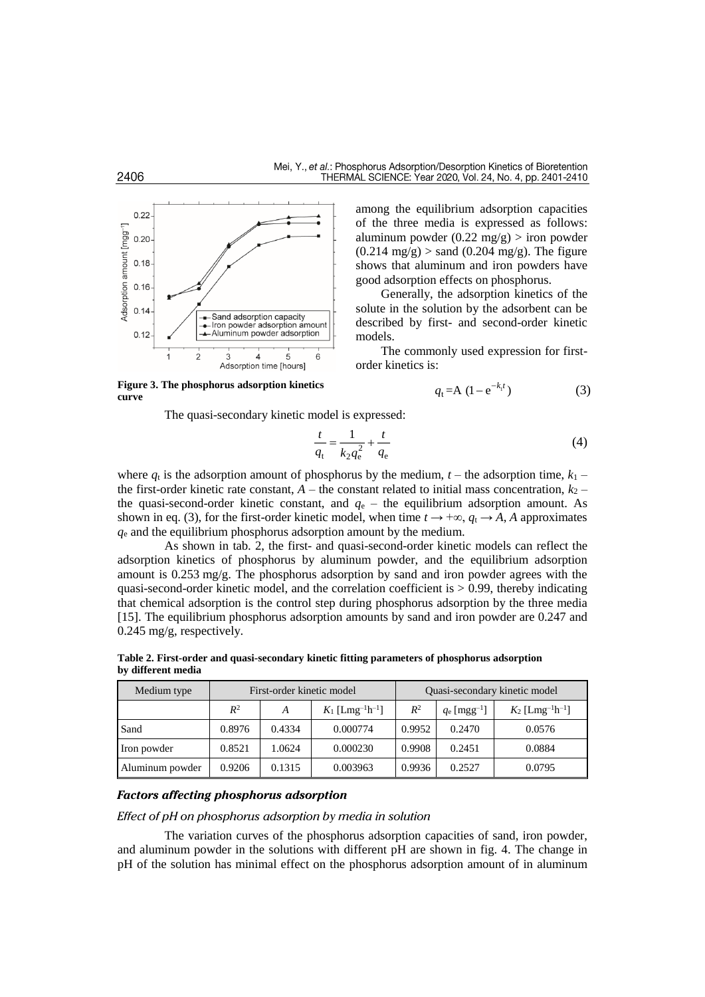

of the three media is expressed as follows: aluminum powder  $(0.22 \text{ mg/g})$  > iron powder  $(0.214 \text{ mg/g})$  > sand  $(0.204 \text{ mg/g})$ . The figure shows that aluminum and iron powders have good adsorption effects on phosphorus.

among the equilibrium adsorption capacities

Generally, the adsorption kinetics of the solute in the solution by the adsorbent can be described by first- and second-order kinetic models.

The commonly used expression for firstorder kinetics is:

$$
q_{t} = A (1 - e^{-k_{t}t})
$$
 (3)

The quasi-secondary kinetic model is expressed:

$$
\frac{t}{q_t} = \frac{1}{k_2 q_e^2} + \frac{t}{q_e} \tag{4}
$$

where  $q_t$  is the adsorption amount of phosphorus by the medium,  $t$  – the adsorption time,  $k_1$  – the first-order kinetic rate constant,  $A$  – the constant related to initial mass concentration,  $k_2$  – the quasi-second-order kinetic constant, and  $q_e$  – the equilibrium adsorption amount. As shown in eq. (3), for the first-order kinetic model, when time  $t \to +\infty$ ,  $q_t \to A$ , *A* approximates *q*<sup>e</sup> and the equilibrium phosphorus adsorption amount by the medium.

As shown in tab. 2, the first- and quasi-second-order kinetic models can reflect the adsorption kinetics of phosphorus by aluminum powder, and the equilibrium adsorption amount is 0.253 mg/g. The phosphorus adsorption by sand and iron powder agrees with the quasi-second-order kinetic model, and the correlation coefficient is  $> 0.99$ , thereby indicating that chemical adsorption is the control step during phosphorus adsorption by the three media [15]. The equilibrium phosphorus adsorption amounts by sand and iron powder are 0.247 and 0.245 mg/g, respectively.

Medium type First-order kinetic model Quasi-secondary kinetic model  $R^2$ <sup>2</sup> *A K*<sub>1</sub> [Lmg<sup>-1</sup>h<sup>-1</sup>  $R^2$  $q_e$  [mgg<sup>-1</sup>]  $\frac{1}{2}$   $K_2$  [Lmg<sup>-1</sup>h<sup>-1</sup>] Sand 0.8976 0.4334 0.000774 0.9952 0.2470 0.0576 Iron powder 0.8521 1.0624 0.000230 0.9908 0.2451 0.0884 Aluminum powder | 0.9206 | 0.1315 | 0.003963 | 0.9936 | 0.2527 | 0.0795

**Table 2. First-order and quasi-secondary kinetic fitting parameters of phosphorus adsorption by different media**

## *Factors affecting phosphorus adsorption*

*Effect of pH on phosphorus adsorption by media in solution*

The variation curves of the phosphorus adsorption capacities of sand, iron powder, and aluminum powder in the solutions with different pH are shown in fig. 4. The change in pH of the solution has minimal effect on the phosphorus adsorption amount of in aluminum

**curve**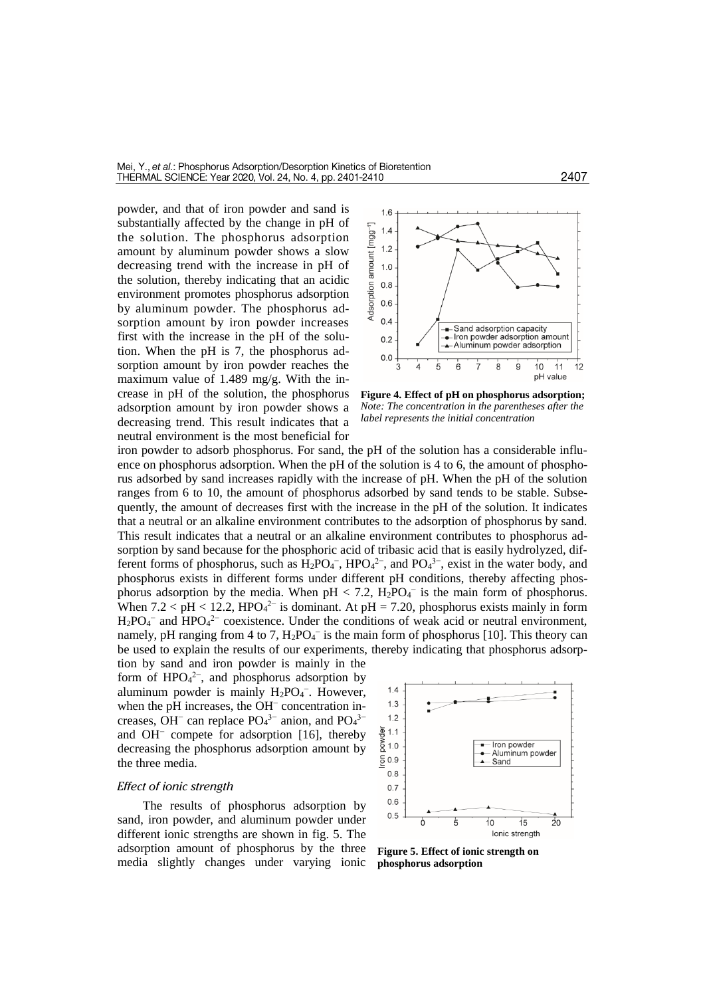powder, and that of iron powder and sand is substantially affected by the change in pH of the solution. The phosphorus adsorption amount by aluminum powder shows a slow decreasing trend with the increase in pH of the solution, thereby indicating that an acidic environment promotes phosphorus adsorption by aluminum powder. The phosphorus adsorption amount by iron powder increases first with the increase in the pH of the solution. When the pH is 7, the phosphorus adsorption amount by iron powder reaches the maximum value of 1.489 mg/g. With the increase in pH of the solution, the phosphorus adsorption amount by iron powder shows a decreasing trend. This result indicates that a neutral environment is the most beneficial for



**Figure 4. Effect of pH on phosphorus adsorption;**  *Note: The concentration in the parentheses after the label represents the initial concentration*

iron powder to adsorb phosphorus. For sand, the pH of the solution has a considerable influence on phosphorus adsorption. When the pH of the solution is 4 to 6, the amount of phosphorus adsorbed by sand increases rapidly with the increase of pH. When the pH of the solution ranges from 6 to 10, the amount of phosphorus adsorbed by sand tends to be stable. Subsequently, the amount of decreases first with the increase in the pH of the solution. It indicates that a neutral or an alkaline environment contributes to the adsorption of phosphorus by sand. This result indicates that a neutral or an alkaline environment contributes to phosphorus adsorption by sand because for the phosphoric acid of tribasic acid that is easily hydrolyzed, different forms of phosphorus, such as  $H_2PO_4^-$ ,  $HPO_4^{2-}$ , and  $PO_4^{3-}$ , exist in the water body, and phosphorus exists in different forms under different pH conditions, thereby affecting phosphorus adsorption by the media. When  $pH < 7.2$ ,  $H_2PO_4$ <sup>-</sup> is the main form of phosphorus. When  $7.2 < pH < 12.2$ , HPO<sub>4</sub><sup>2-</sup> is dominant. At  $pH = 7.20$ , phosphorus exists mainly in form  $H_2PO_4^-$  and  $HPO_4^{2-}$  coexistence. Under the conditions of weak acid or neutral environment, namely, pH ranging from 4 to 7,  $H_2PO_4^-$  is the main form of phosphorus [10]. This theory can be used to explain the results of our experiments, thereby indicating that phosphorus adsorp-

tion by sand and iron powder is mainly in the form of  $HPO<sub>4</sub><sup>2-</sup>$ , and phosphorus adsorption by aluminum powder is mainly  $H_2PO_4^-$ . However, when the pH increases, the OH<sup>−</sup> concentration increases, OH<sup>-</sup> can replace  $PO<sub>4</sub><sup>3−</sup>$  anion, and  $PO<sub>4</sub><sup>3−</sup>$ and OH<sup>−</sup> compete for adsorption [16], thereby decreasing the phosphorus adsorption amount by the three media.

#### *Effect of ionic strength*

The results of phosphorus adsorption by sand, iron powder, and aluminum powder under different ionic strengths are shown in fig. 5. The adsorption amount of phosphorus by the three media slightly changes under varying ionic



**Figure 5. Effect of ionic strength on phosphorus adsorption**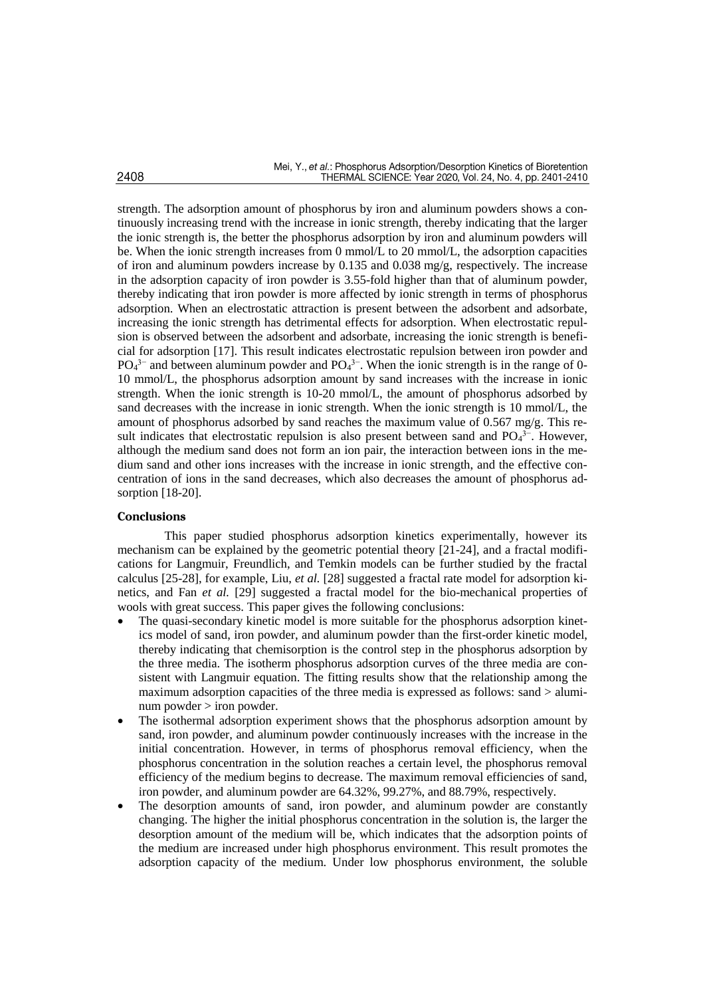strength. The adsorption amount of phosphorus by iron and aluminum powders shows a continuously increasing trend with the increase in ionic strength, thereby indicating that the larger the ionic strength is, the better the phosphorus adsorption by iron and aluminum powders will be. When the ionic strength increases from 0 mmol/L to 20 mmol/L, the adsorption capacities of iron and aluminum powders increase by 0.135 and 0.038 mg/g, respectively. The increase in the adsorption capacity of iron powder is 3.55-fold higher than that of aluminum powder, thereby indicating that iron powder is more affected by ionic strength in terms of phosphorus adsorption. When an electrostatic attraction is present between the adsorbent and adsorbate, increasing the ionic strength has detrimental effects for adsorption. When electrostatic repulsion is observed between the adsorbent and adsorbate, increasing the ionic strength is beneficial for adsorption [17]. This result indicates electrostatic repulsion between iron powder and  $PO<sub>4</sub><sup>3-</sup>$  and between aluminum powder and  $PO<sub>4</sub><sup>3-</sup>$ . When the ionic strength is in the range of 0-10 mmol/L, the phosphorus adsorption amount by sand increases with the increase in ionic strength. When the ionic strength is 10-20 mmol/L, the amount of phosphorus adsorbed by sand decreases with the increase in ionic strength. When the ionic strength is 10 mmol/L, the amount of phosphorus adsorbed by sand reaches the maximum value of  $0.567 \text{ mg/g}$ . This result indicates that electrostatic repulsion is also present between sand and PO<sub>4</sub><sup>3−</sup>. However, although the medium sand does not form an ion pair, the interaction between ions in the medium sand and other ions increases with the increase in ionic strength, and the effective concentration of ions in the sand decreases, which also decreases the amount of phosphorus adsorption [18-20].

## **Conclusions**

This paper studied phosphorus adsorption kinetics experimentally, however its mechanism can be explained by the geometric potential theory [21-24], and a fractal modifications for Langmuir, Freundlich, and Temkin models can be further studied by the fractal calculus [25-28], for example, Liu, *et al.* [28] suggested a fractal rate model for adsorption kinetics, and Fan *et al.* [29] suggested a fractal model for the bio-mechanical properties of wools with great success. This paper gives the following conclusions:

- The quasi-secondary kinetic model is more suitable for the phosphorus adsorption kinetics model of sand, iron powder, and aluminum powder than the first-order kinetic model, thereby indicating that chemisorption is the control step in the phosphorus adsorption by the three media. The isotherm phosphorus adsorption curves of the three media are consistent with Langmuir equation. The fitting results show that the relationship among the maximum adsorption capacities of the three media is expressed as follows: sand > aluminum powder > iron powder.
- The isothermal adsorption experiment shows that the phosphorus adsorption amount by sand, iron powder, and aluminum powder continuously increases with the increase in the initial concentration. However, in terms of phosphorus removal efficiency, when the phosphorus concentration in the solution reaches a certain level, the phosphorus removal efficiency of the medium begins to decrease. The maximum removal efficiencies of sand, iron powder, and aluminum powder are 64.32%, 99.27%, and 88.79%, respectively.
- The desorption amounts of sand, iron powder, and aluminum powder are constantly changing. The higher the initial phosphorus concentration in the solution is, the larger the desorption amount of the medium will be, which indicates that the adsorption points of the medium are increased under high phosphorus environment. This result promotes the adsorption capacity of the medium. Under low phosphorus environment, the soluble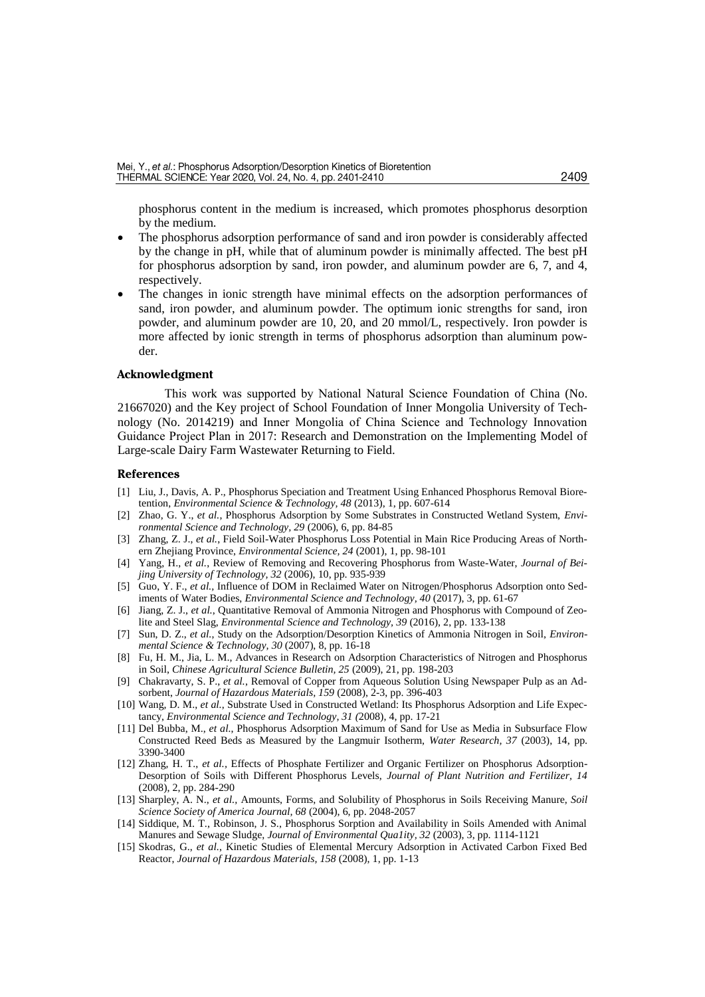phosphorus content in the medium is increased, which promotes phosphorus desorption by the medium.

- The phosphorus adsorption performance of sand and iron powder is considerably affected by the change in pH, while that of aluminum powder is minimally affected. The best pH for phosphorus adsorption by sand, iron powder, and aluminum powder are 6, 7, and 4, respectively.
- The changes in ionic strength have minimal effects on the adsorption performances of sand, iron powder, and aluminum powder. The optimum ionic strengths for sand, iron powder, and aluminum powder are 10, 20, and 20 mmol/L, respectively. Iron powder is more affected by ionic strength in terms of phosphorus adsorption than aluminum powder.

#### **Acknowledgment**

This work was supported by National Natural Science Foundation of China (No. 21667020) and the Key project of School Foundation of Inner Mongolia University of Technology (No. 2014219) and Inner Mongolia of China Science and Technology Innovation Guidance Project Plan in 2017: Research and Demonstration on the Implementing Model of Large-scale Dairy Farm Wastewater Returning to Field.

#### **References**

- [1] Liu, J., Davis, A. P., Phosphorus Speciation and Treatment Using Enhanced Phosphorus Removal Bioretention, *Environmental Science & Technology, 48* (2013), 1, pp. 607-614
- [2] Zhao, G. Y., *et al.*, Phosphorus Adsorption by Some Substrates in Constructed Wetland System, *Environmental Science and Technology, 29* (2006), 6, pp. 84-85
- [3] Zhang, Z. J., *et al.*, Field Soil-Water Phosphorus Loss Potential in Main Rice Producing Areas of Northern Zhejiang Province, *Environmental Science, 24* (2001), 1, pp. 98-101
- [4] Yang, H., *et al.*, Review of Removing and Recovering Phosphorus from Waste-Water, *Journal of Beijing University of Technology, 32* (2006), 10, pp. 935-939
- [5] Guo, Y. F., *et al.,* Influence of DOM in Reclaimed Water on Nitrogen/Phosphorus Adsorption onto Sediments of Water Bodies, *Environmental Science and Technology, 40* (2017), 3, pp. 61-67
- [6] Jiang, Z. J., *et al.*, Quantitative Removal of Ammonia Nitrogen and Phosphorus with Compound of Zeolite and Steel Slag, *Environmental Science and Technology, 39* (2016), 2, pp. 133-138
- [7] Sun, D. Z., *et al.*, Study on the Adsorption/Desorption Kinetics of Ammonia Nitrogen in Soil, *Environmental Science & Technology, 30* (2007), 8, pp. 16-18
- [8] Fu, H. M., Jia, L. M., Advances in Research on Adsorption Characteristics of Nitrogen and Phosphorus in Soil, *Chinese Agricultural Science Bulletin, 25* (2009), 21, pp. 198-203
- [9] Chakravarty, S. P., *et al.*, Removal of Copper from Aqueous Solution Using Newspaper Pulp as an Adsorbent, *Journal of Hazardous Materials, 159* (2008), 2-3, pp. 396-403
- [10] Wang, D. M., *et al.*, Substrate Used in Constructed Wetland: Its Phosphorus Adsorption and Life Expectancy, *Environmental Science and Technology, 31 (*2008), 4, pp. 17-21
- [11] Del Bubba, M., *et al.*, Phosphorus Adsorption Maximum of Sand for Use as Media in Subsurface Flow Constructed Reed Beds as Measured by the Langmuir Isotherm, *Water Research, 37* (2003), 14, pp. 3390-3400
- [12] Zhang, H. T., *et al.,* Effects of Phosphate Fertilizer and Organic Fertilizer on Phosphorus Adsorption-Desorption of Soils with Different Phosphorus Levels, *Journal of Plant Nutrition and Fertilizer, 14* (2008), 2, pp. 284-290
- [13] Sharpley, A. N., *et al.,* Amounts, Forms, and Solubility of Phosphorus in Soils Receiving Manure, *Soil Science Society of America Journal, 68* (2004), 6, pp. 2048-2057
- [14] Siddique, M. T., Robinson, J. S., Phosphorus Sorption and Availability in Soils Amended with Animal Manures and Sewage Sludge, *Journal of Environmental Qua1ity, 32* (2003), 3, pp. 1114-1121
- [15] Skodras, G., *et al.*, Kinetic Studies of Elemental Mercury Adsorption in Activated Carbon Fixed Bed Reactor, *Journal of Hazardous Materials, 158* (2008), 1, pp. 1-13